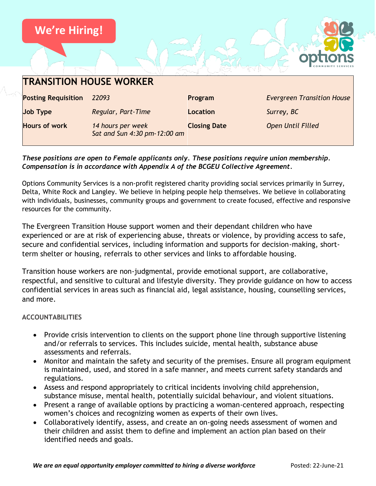

### *These positions are open to Female applicants only. These positions require union membership. Compensation is in accordance with Appendix A of the BCGEU Collective Agreement.*

Options Community Services is a non-profit registered charity providing social services primarily in Surrey, Delta, White Rock and Langley. We believe in helping people help themselves. We believe in collaborating with individuals, businesses, community groups and government to create focused, effective and responsive resources for the community.

The Evergreen Transition House support women and their dependant children who have experienced or are at risk of experiencing abuse, threats or violence, by providing access to safe, secure and confidential services, including information and supports for decision-making, shortterm shelter or housing, referrals to other services and links to affordable housing.

Transition house workers are non-judgmental, provide emotional support, are collaborative, respectful, and sensitive to cultural and lifestyle diversity. They provide guidance on how to access confidential services in areas such as financial aid, legal assistance, housing, counselling services, and more.

### **ACCOUNTABILITIES**

- Provide crisis intervention to clients on the support phone line through supportive listening and/or referrals to services. This includes suicide, mental health, substance abuse assessments and referrals.
- Monitor and maintain the safety and security of the premises. Ensure all program equipment is maintained, used, and stored in a safe manner, and meets current safety standards and regulations.
- Assess and respond appropriately to critical incidents involving child apprehension, substance misuse, mental health, potentially suicidal behaviour, and violent situations.
- Present a range of available options by practicing a woman-centered approach, respecting women's choices and recognizing women as experts of their own lives.
- Collaboratively identify, assess, and create an on-going needs assessment of women and their children and assist them to define and implement an action plan based on their identified needs and goals.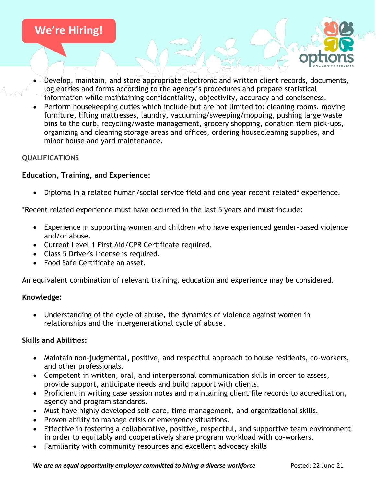

- Develop, maintain, and store appropriate electronic and written client records, documents, log entries and forms according to the agency's procedures and prepare statistical information while maintaining confidentiality, objectivity, accuracy and conciseness.
- Perform housekeeping duties which include but are not limited to: cleaning rooms, moving furniture, lifting mattresses, laundry, vacuuming/sweeping/mopping, pushing large waste bins to the curb, recycling/waste management, grocery shopping, donation item pick-ups, organizing and cleaning storage areas and offices, ordering housecleaning supplies, and minor house and yard maintenance.

## **QUALIFICATIONS**

### **Education, Training, and Experience:**

• Diploma in a related human/social service field and one year recent related\* experience.

\*Recent related experience must have occurred in the last 5 years and must include:

- Experience in supporting women and children who have experienced gender-based violence and/or abuse.
- Current Level 1 First Aid/CPR Certificate required.
- Class 5 Driver's License is required.
- Food Safe Certificate an asset.

An equivalent combination of relevant training, education and experience may be considered.

### **Knowledge:**

• Understanding of the cycle of abuse, the dynamics of violence against women in relationships and the intergenerational cycle of abuse.

### **Skills and Abilities:**

- Maintain non-judgmental, positive, and respectful approach to house residents, co-workers, and other professionals.
- Competent in written, oral, and interpersonal communication skills in order to assess, provide support, anticipate needs and build rapport with clients.
- Proficient in writing case session notes and maintaining client file records to accreditation, agency and program standards.
- Must have highly developed self-care, time management, and organizational skills.
- Proven ability to manage crisis or emergency situations.
- Effective in fostering a collaborative, positive, respectful, and supportive team environment in order to equitably and cooperatively share program workload with co-workers.
- Familiarity with community resources and excellent advocacy skills